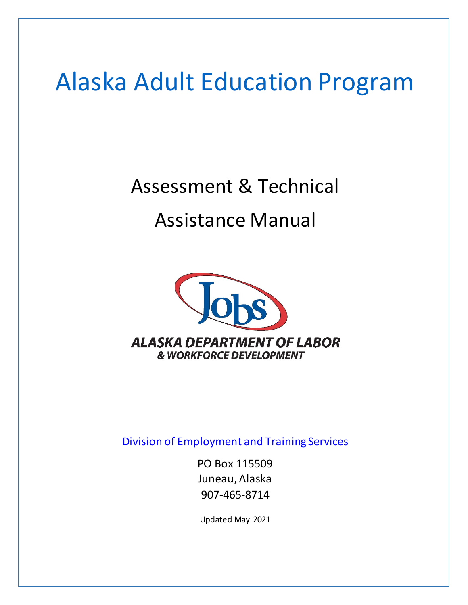# Alaska [Adult Education Program](http://jobs.alaska.gov/aae/)

# Assessment & Technical

# Assistance Manual



[Division of Employment and Training Services](http://labor.alaska.gov/dets/home.htm)

PO Box 115509 Juneau, Alaska 907-465-8714

Updated May 2021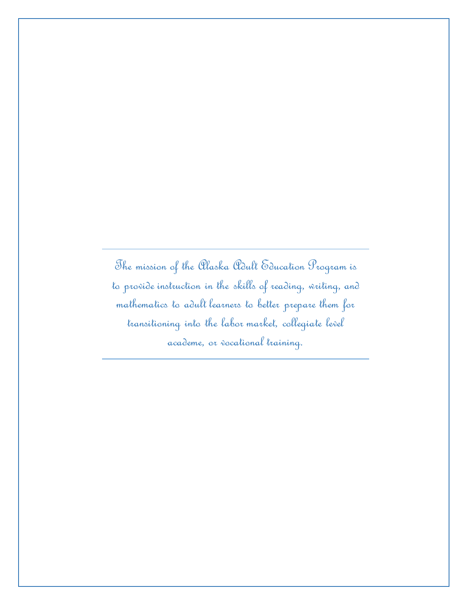The mission of the Alaska Adult Education Program is to provide instruction in the skills of reading, writing, and mathematics to adult learners to better prepare them for transitioning into the labor market, collegiate level academe, or vocational training.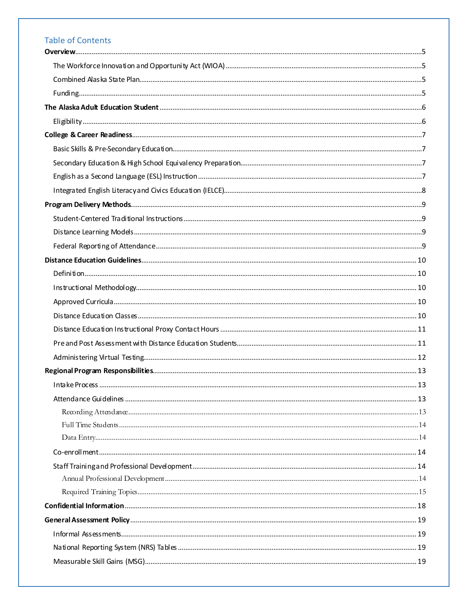# **Table of Contents**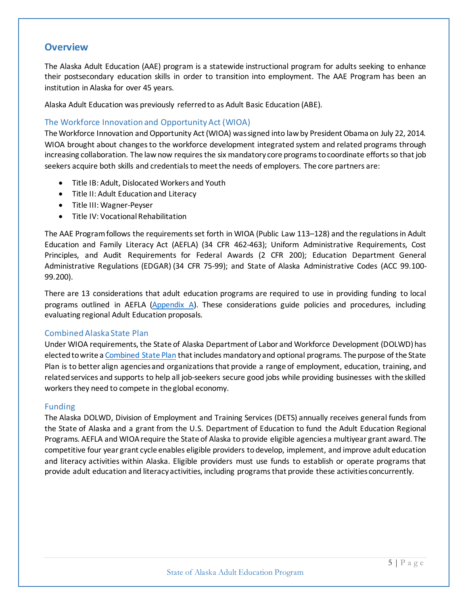# <span id="page-4-0"></span>**Overview**

The Alaska Adult Education (AAE) program is a statewide instructional program for adults seeking to enhance their postsecondary education skills in order to transition into employment. The AAE Program has been an institution in Alaska for over 45 years.

Alaska Adult Education was previously referred to as Adult Basic Education (ABE).

#### <span id="page-4-1"></span>The Workforce Innovation and Opportunity Act (WIOA)

The Workforce Innovation and Opportunity Act (WIOA) wassigned into law by President Obama on July 22, 2014. WIOA brought about changes to the workforce development integrated system and related programs through increasing collaboration. The law now requires the six mandatory core programsto coordinate efforts so that job seekers acquire both skills and credentials to meet the needs of employers. The core partners are:

- Title IB: Adult, Dislocated Workers and Youth
- Title II: Adult Education and Literacy
- Title III: Wagner-Peyser
- Title IV: Vocational Rehabilitation

The AAE Program follows the requirementsset forth in WIOA (Public Law 113–128) and the regulations in Adult Education and Family Literacy Act (AEFLA) (34 CFR 462-463); Uniform Administrative Requirements, Cost Principles, and Audit Requirements for Federal Awards (2 CFR 200); Education Department General Administrative Regulations (EDGAR) (34 CFR 75-99); and State of Alaska Administrative Codes (ACC 99.100- 99.200).

There are 13 considerations that adult education programs are required to use in providing funding to local programs outlined in AEFLA [\(Appendix A\)](#page-32-0). These considerations guide policies and procedures, including evaluating regional Adult Education proposals.

#### <span id="page-4-2"></span>Combined Alaska State Plan

Under WIOA requirements, the State of Alaska Department of Labor and Workforce Development (DOLWD) has elected to write a [Combined State Plan](https://jobs.alaska.gov/aae/documents/2020_WIOA_Plan_FINAL.pdf) that includes mandatory and optional programs. The purpose of the State Plan is to better align agencies and organizationsthat provide a range of employment, education, training, and related services and supports to help all job-seekers secure good jobs while providing businesses with the skilled workers they need to compete in the global economy.

#### <span id="page-4-3"></span>Funding

The Alaska DOLWD, Division of Employment and Training Services (DETS) annually receives general funds from the State of Alaska and a grant from the U.S. Department of Education to fund the Adult Education Regional Programs. AEFLA and WIOA require the State of Alaska to provide eligible agencies a multiyear grant award. The competitive four year grant cycle enables eligible providers to develop, implement, and improve adult education and literacy activities within Alaska. Eligible providers must use funds to establish or operate programs that provide adult education and literacy activities, including programs that provide these activities concurrently.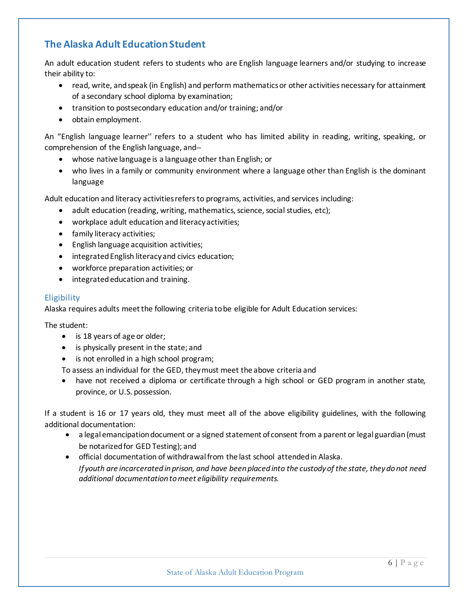# <span id="page-5-0"></span>**The Alaska Adult Education Student**

An adult education student refers to students who are English language learners and/or studying to increase their ability to:

- read, write, and speak (in English) and perform mathematics or other activities necessary for attainment of a secondary school diploma by examination;
- transition to postsecondary education and/or training; and/or
- obtain employment.

An "English language learner'' refers to a student who has limited ability in reading, writing, speaking, or comprehension of the English language, and--

- whose native language is a language other than English; or
- who lives in a family or community environment where a language other than English is the dominant language

Adult education and literacy activities refers to programs, activities, and services including:

- adult education (reading, writing, mathematics, science, social studies, etc);
- workplace adult education and literacy activities;
- family literacy activities;
- English language acquisition activities;
- integrated English literacy and civics education;
- workforce preparation activities; or
- integrated education and training.

#### <span id="page-5-1"></span>**Eligibility**

Alaska requires adults meet the following criteria to be eligible for Adult Education services:

The student:

- is 18 years of age or older;
- is physically present in the state; and
- is not enrolled in a high school program;

To assess an individual for the GED, they must meet the above criteria and

have not received a diploma or certificate through a high school or GED program in another state, province, or U.S. possession.

If a student is 16 or 17 years old, they must meet all of the above eligibility guidelines, with the following additional documentation:

- a legal emancipation document or a signed statement of consent from a parent or legal guardian(must be notarized for GED Testing); and
- official documentation of withdrawal from the last school attended in Alaska. *If youth are incarcerated in prison, and have been placed into the custody of the state, they do not need additional documentation to meet eligibility requirements.*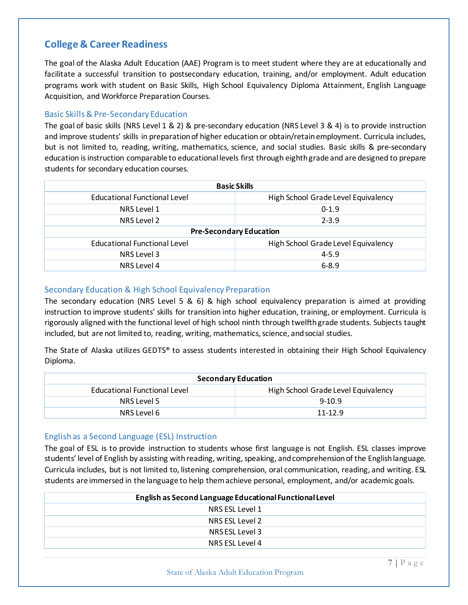# <span id="page-6-0"></span>**College & Career Readiness**

The goal of the Alaska Adult Education (AAE) Program is to meet student where they are at educationally and facilitate a successful transition to postsecondary education, training, and/or employment. Adult education programs work with student on Basic Skills, High School Equivalency Diploma Attainment, English Language Acquisition, and Workforce Preparation Courses.

#### <span id="page-6-1"></span>Basic Skills& Pre-Secondary Education

The goal of basic skills (NRS Level 1 & 2) & pre-secondary education (NRS Level 3 & 4) is to provide instruction and improve students' skills in preparation of higher education or obtain/retain employment. Curricula includes, but is not limited to, reading, writing, mathematics, science, and social studies. Basic skills & pre-secondary education is instruction comparable to educational levels first through eighth grade and are designed to prepare students for secondary education courses.

| <b>Basic Skills</b>                                                 |                                     |  |  |
|---------------------------------------------------------------------|-------------------------------------|--|--|
| High School Grade Level Equivalency<br>Educational Functional Level |                                     |  |  |
| NRS Level 1<br>$0-1.9$                                              |                                     |  |  |
| NRS Level 2                                                         | $2 - 3.9$                           |  |  |
| <b>Pre-Secondary Education</b>                                      |                                     |  |  |
| <b>Educational Functional Level</b>                                 | High School Grade Level Equivalency |  |  |
| NRS Level 3                                                         | $4 - 5.9$                           |  |  |
| NRS Level 4<br>$6 - 8.9$                                            |                                     |  |  |

#### <span id="page-6-2"></span>Secondary Education & High School Equivalency Preparation

The secondary education (NRS Level 5 & 6) & high school equivalency preparation is aimed at providing instruction to improve students' skills for transition into higher education, training, or employment. Curricula is rigorously aligned with the functional level of high school ninth through twelfthgrade students. Subjects taught included, but are not limited to, reading, writing, mathematics, science, and social studies.

The State of Alaska utilizes GEDTS® to assess students interested in obtaining their High School Equivalency Diploma.

| <b>Secondary Education</b>          |                                     |  |
|-------------------------------------|-------------------------------------|--|
| <b>Educational Functional Level</b> | High School Grade Level Equivalency |  |
| NRS Level 5                         | $9-10.9$                            |  |
| NRS Level 6                         | $11 - 12.9$                         |  |

#### <span id="page-6-3"></span>English as a Second Language (ESL) Instruction

The goal of ESL is to provide instruction to students whose first language is not English. ESL classes improve students' level of English by assisting with reading, writing, speaking, and comprehension of the English language. Curricula includes, but is not limited to, listening comprehension, oral communication, reading, and writing. ESL students are immersed in the language to help them achieve personal, employment, and/or academic goals.

| English as Second Language Educational Functional Level |  |  |  |
|---------------------------------------------------------|--|--|--|
| NRS ESL Level 1                                         |  |  |  |
| NRS ESL Level 2                                         |  |  |  |
| NRSESL Level 3                                          |  |  |  |
| NRS ESL Level 4                                         |  |  |  |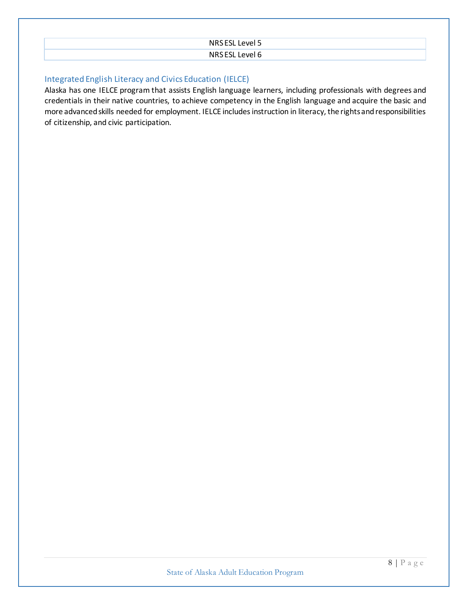| NRSESL Level 5 |
|----------------|
| NRSESL Level 6 |

#### <span id="page-7-0"></span>Integrated English Literacy and Civics Education (IELCE)

Alaska has one IELCE program that assists English language learners, including professionals with degrees and credentials in their native countries, to achieve competency in the English language and acquire the basic and more advanced skills needed for employment. IELCE includes instruction in literacy, the rights and responsibilities of citizenship, and civic participation.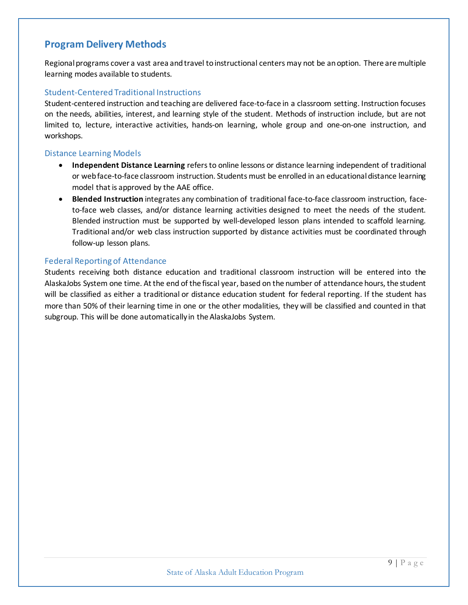# <span id="page-8-0"></span>**Program Delivery Methods**

Regional programs cover a vast area and travel to instructional centers may not be an option. There are multiple learning modes available to students.

#### <span id="page-8-1"></span>Student-Centered Traditional Instructions

Student-centered instruction and teaching are delivered face-to-face in a classroom setting. Instruction focuses on the needs, abilities, interest, and learning style of the student. Methods of instruction include, but are not limited to, lecture, interactive activities, hands-on learning, whole group and one-on-one instruction, and workshops.

#### <span id="page-8-2"></span>Distance Learning Models

- **Independent Distance Learning** refers to online lessons or distance learning independent of traditional or web face-to-face classroom instruction. Students must be enrolled in an educational distance learning model that is approved by the AAE office.
- **Blended Instruction** integrates any combination of traditional face-to-face classroom instruction, faceto-face web classes, and/or distance learning activities designed to meet the needs of the student. Blended instruction must be supported by well-developed lesson plans intended to scaffold learning. Traditional and/or web class instruction supported by distance activities must be coordinated through follow-up lesson plans.

#### <span id="page-8-3"></span>Federal Reporting of Attendance

Students receiving both distance education and traditional classroom instruction will be entered into the AlaskaJobs System one time. At the end of the fiscal year, based on the number of attendance hours, the student will be classified as either a traditional or distance education student for federal reporting. If the student has more than 50% of their learning time in one or the other modalities, they will be classified and counted in that subgroup. This will be done automatically in the AlaskaJobs System.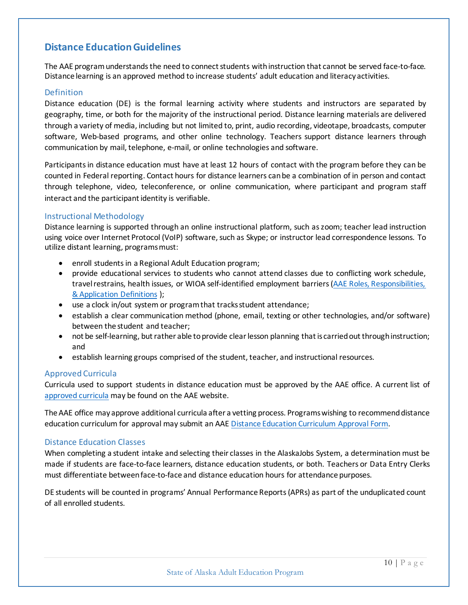# <span id="page-9-0"></span>**Distance Education Guidelines**

The AAE program understands the need to connect students with instruction that cannot be served face-to-face. Distance learning is an approved method to increase students' adult education and literacy activities.

#### <span id="page-9-1"></span>Definition

Distance education (DE) is the formal learning activity where students and instructors are separated by geography, time, or both for the majority of the instructional period. Distance learning materials are delivered through a variety of media, including but not limited to, print, audio recording, videotape, broadcasts, computer software, Web-based programs, and other online technology. Teachers support distance learners through communication by mail, telephone, e-mail, or online technologies and software.

Participants in distance education must have at least 12 hours of contact with the program before they can be counted in Federal reporting. Contact hours for distance learners can be a combination of in person and contact through telephone, video, teleconference, or online communication, where participant and program staff interact and the participant identity is verifiable.

#### <span id="page-9-2"></span>Instructional Methodology

Distance learning is supported through an online instructional platform, such as zoom; teacher lead instruction using voice over Internet Protocol (VoIP) software, such as Skype; or instructor lead correspondence lessons. To utilize distant learning, programs must:

- enroll students in a Regional Adult Education program;
- provide educational services to students who cannot attend classes due to conflicting work schedule, travel restrains, health issues, or WIOA self-identified employment barriers [\(AAE Roles, Responsibilities,](https://jobs.alaska.gov/aae/documents/AK_Adult_Ed_Intake_Polices.pdf)  [& Application Definitions](https://jobs.alaska.gov/aae/documents/AK_Adult_Ed_Intake_Polices.pdf) );
- use a clock in/out system or program that tracks student attendance;
- establish a clear communication method (phone, email, texting or other technologies, and/or software) between the student and teacher;
- not be self-learning, but rather able to provide clear lesson planning that is carried out through instruction; and
- establish learning groups comprised of the student, teacher, and instructional resources.

#### <span id="page-9-3"></span>Approved Curricula

Curricula used to support students in distance education must be approved by the AAE office. A current list of [approved curricula](https://jobs.alaska.gov/aae/documents/Approved_Distance_Education_Curriculum.pdf) may be found on the AAE website.

The AAE office may approve additional curricula after a vetting process. Programs wishing to recommend distance education curriculum for approval may submit an AAE [Distance Education Curriculum Approval Form.](https://jobs.alaska.gov/aae/documents/AAE_DE_Curriculum_Application.pdf)

#### <span id="page-9-4"></span>Distance Education Classes

When completing a student intake and selecting their classes in the AlaskaJobs System, a determination must be made if students are face-to-face learners, distance education students, or both. Teachers or Data Entry Clerks must differentiate between face-to-face and distance education hours for attendance purposes.

DE students will be counted in programs' Annual Performance Reports (APRs) as part of the unduplicated count of all enrolled students.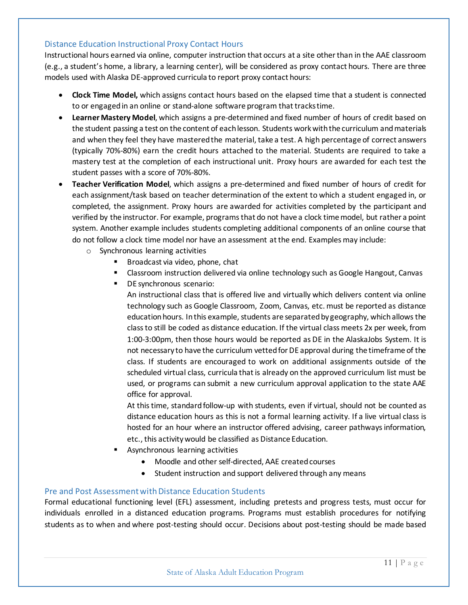#### <span id="page-10-0"></span>Distance Education Instructional Proxy Contact Hours

Instructional hours earned via online, computer instruction that occurs at a site other than in the AAE classroom (e.g., a student's home, a library, a learning center), will be considered as proxy contact hours. There are three models used with Alaska DE-approved curricula to report proxy contact hours:

- **Clock Time Model,** which assigns contact hours based on the elapsed time that a student is connected to or engaged in an online or stand-alone software program that tracks time.
- **Learner Mastery Model**, which assigns a pre-determined and fixed number of hours of credit based on the student passing a test on the content of each lesson. Students work with the curriculum and materials and when they feel they have mastered the material, take a test. A high percentage of correct answers (typically 70%-80%) earn the credit hours attached to the material. Students are required to take a mastery test at the completion of each instructional unit. Proxy hours are awarded for each test the student passes with a score of 70%-80%.
- **Teacher Verification Model**, which assigns a pre-determined and fixed number of hours of credit for each assignment/task based on teacher determination of the extent to which a student engaged in, or completed, the assignment. Proxy hours are awarded for activities completed by the participant and verified by the instructor. For example, programs that do not have a clock time model, but rather a point system. Another example includes students completing additional components of an online course that do not follow a clock time model nor have an assessment at the end. Examples may include:
	- o Synchronous learning activities
		- Broadcast via video, phone, chat
		- Classroom instruction delivered via online technology such as Google Hangout, Canvas
		- DE synchronous scenario:

An instructional class that is offered live and virtually which delivers content via online technology such as Google Classroom, Zoom, Canvas, etc. must be reported as distance education hours. In this example, students are separated by geography, which allows the class to still be coded as distance education. If the virtual class meets 2x per week, from 1:00-3:00pm, then those hours would be reported as DE in the AlaskaJobs System. It is not necessary to have the curriculum vetted for DE approval during the timeframe of the class. If students are encouraged to work on additional assignments outside of the scheduled virtual class, curricula that is already on the approved curriculum list must be used, or programs can submit a new curriculum approval application to the state AAE office for approval.

At this time, standard follow-up with students, even if virtual, should not be counted as distance education hours as this is not a formal learning activity. If a live virtual class is hosted for an hour where an instructor offered advising, career pathways information, etc., this activity would be classified as Distance Education.

- **Asynchronous learning activities** 
	- Moodle and other self-directed, AAE created courses
	- Student instruction and support delivered through any means

#### <span id="page-10-1"></span>Pre and Post Assessment with Distance Education Students

Formal educational functioning level (EFL) assessment, including pretests and progress tests, must occur for individuals enrolled in a distanced education programs. Programs must establish procedures for notifying students as to when and where post-testing should occur. Decisions about post-testing should be made based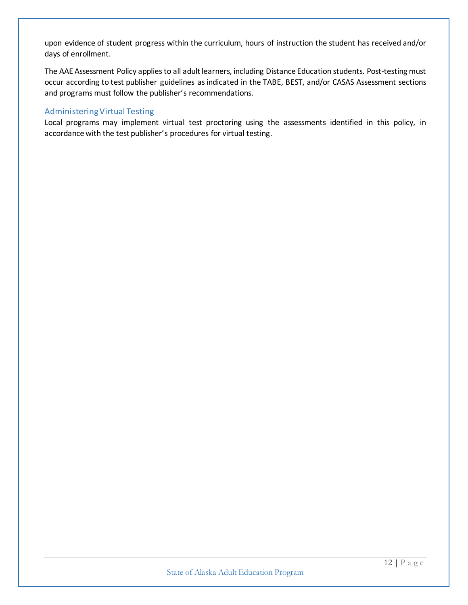upon evidence of student progress within the curriculum, hours of instruction the student has received and/or days of enrollment.

The AAE Assessment Policy applies to all adult learners, including Distance Education students. Post-testing must occur according to test publisher guidelines as indicated in the TABE, BEST, and/or CASAS Assessment sections and programs must follow the publisher's recommendations.

#### <span id="page-11-0"></span>Administering Virtual Testing

Local programs may implement virtual test proctoring using the assessments identified in this policy, in accordance with the test publisher's procedures for virtual testing.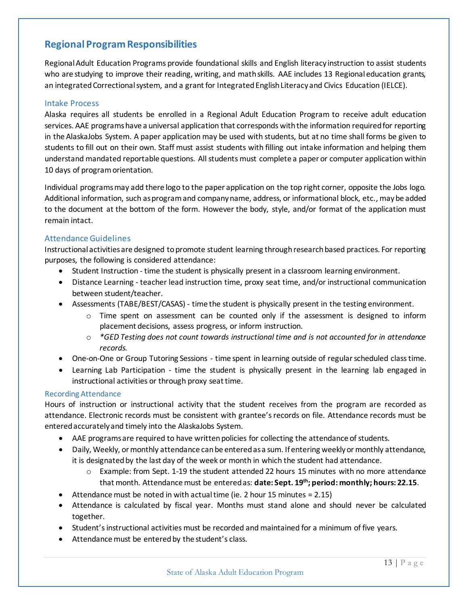# <span id="page-12-0"></span>**Regional Program Responsibilities**

Regional Adult Education Programs provide foundational skills and English literacy instruction to assist students who are studying to improve their reading, writing, and math skills. AAE includes 13 Regional education grants, an integrated Correctional system, and a grant for Integrated English Literacy and Civics Education (IELCE).

#### <span id="page-12-1"></span>Intake Process

Alaska requires all students be enrolled in a Regional Adult Education Program to receive adult education services. AAE programs have a universal application that corresponds with the information required for reporting in the AlaskaJobs System. A paper application may be used with students, but at no time shall forms be given to students to fill out on their own. Staff must assist students with filling out intake information and helping them understand mandated reportable questions. All students must complete a paper or computer application within 10 days of program orientation.

Individual programs may add there logo to the paper application on the top right corner, opposite the Jobs logo. Additional information, such as program and company name, address, or informational block, etc., may be added to the document at the bottom of the form. However the body, style, and/or format of the application must remain intact.

#### <span id="page-12-2"></span>Attendance Guidelines

Instructional activities are designed to promote student learning through research based practices. For reporting purposes, the following is considered attendance:

- Student Instruction time the student is physically present in a classroom learning environment.
- Distance Learning teacher lead instruction time, proxy seat time, and/or instructional communication between student/teacher.
- Assessments (TABE/BEST/CASAS) time the student is physically present in the testing environment.
	- $\circ$  Time spent on assessment can be counted only if the assessment is designed to inform placement decisions, assess progress, or inform instruction.
	- o *\*GED Testing does not count towards instructional time and is not accounted for in attendance records.*
- One-on-One or Group Tutoring Sessions time spent in learning outside of regular scheduled class time.
- Learning Lab Participation time the student is physically present in the learning lab engaged in instructional activities or through proxy seat time.

#### <span id="page-12-3"></span>Recording Attendance

Hours of instruction or instructional activity that the student receives from the program are recorded as attendance. Electronic records must be consistent with grantee's records on file. Attendance records must be entered accurately and timely into the AlaskaJobs System.

- AAE programs are required to have written policies for collecting the attendance of students.
- Daily, Weekly, or monthly attendance can be entered as a sum. If entering weekly or monthly attendance, it is designated by the last day of the week or month in which the student had attendance.
	- o Example: from Sept. 1-19 the student attended 22 hours 15 minutes with no more attendance that month. Attendance must be entered as: **date: Sept. 19th; period: monthly; hours: 22.15**.
- Attendance must be noted in with actual time (ie. 2 hour 15 minutes = 2.15)
- Attendance is calculated by fiscal year. Months must stand alone and should never be calculated together.
- Student's instructional activities must be recorded and maintained for a minimum of five years.
- Attendance must be entered by the student's class.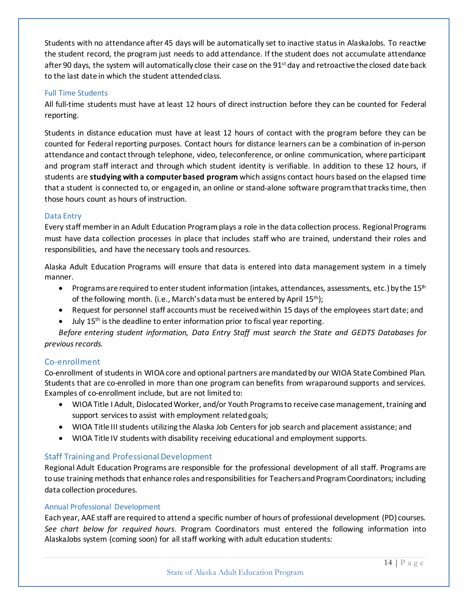Students with no attendance after 45 days will be automatically set to inactive status in AlaskaJobs. To reactive the student record, the program just needs to add attendance. If the student does not accumulate attendance after 90 days, the system will automatically close their case on the  $91<sup>st</sup>$  day and retroactive the closed date back to the last date in which the student attended class.

#### <span id="page-13-0"></span>Full Time Students

All full-time students must have at least 12 hours of direct instruction before they can be counted for Federal reporting.

Students in distance education must have at least 12 hours of contact with the program before they can be counted for Federal reporting purposes. Contact hours for distance learners can be a combination of in-person attendance and contact through telephone, video, teleconference, or online communication, where participant and program staff interact and through which student identity is verifiable. In addition to these 12 hours, if students are **studying with a computer based program** which assigns contact hours based on the elapsed time that a student is connected to, or engaged in, an online or stand-alone software program that tracks time, then those hours count as hours of instruction.

#### <span id="page-13-1"></span>Data Entry

Every staff member in an Adult Education Program plays a role in the data collection process. Regional Programs must have data collection processes in place that includes staff who are trained, understand their roles and responsibilities, and have the necessary tools and resources.

Alaska Adult Education Programs will ensure that data is entered into data management system in a timely manner.

- Programs are required to enter student information (intakes, attendances, assessments, etc.) by the  $15<sup>th</sup>$ of the following month. (i.e., March's data must be entered by April 15<sup>th</sup>);
- Request for personnel staff accounts must be receivedwithin 15 days of the employees start date; and
- July 15<sup>th</sup> is the deadline to enter information prior to fiscal year reporting.

*Before entering student information, Data Entry Staff must search the State and GEDTS Databases for previous records.* 

#### <span id="page-13-2"></span>Co-enrollment

Co-enrollment of students in WIOA core and optional partners are mandated by our WIOA State Combined Plan. Students that are co-enrolled in more than one program can benefits from wraparound supports and services. Examples of co-enrollment include, but are not limited to:

- WIOA Title I Adult, Dislocated Worker, and/or Youth Programsto receive case management, training and support services to assist with employment related goals;
- WIOA Title III students utilizing the Alaska Job Centers for job search and placement assistance; and
- WIOA Title IV students with disability receiving educational and employment supports.

#### <span id="page-13-3"></span>Staff Training and Professional Development

Regional Adult Education Programs are responsible for the professional development of all staff. Programs are to use training methods that enhance roles and responsibilities for Teachers and Program Coordinators; including data collection procedures.

#### <span id="page-13-4"></span>Annual Professional Development

Each year, AAE staff are required to attend a specific number of hours of professional development (PD) courses. *See chart below for required hours*. Program Coordinators must entered the following information into AlaskaJobs system (coming soon) for all staff working with adult education students: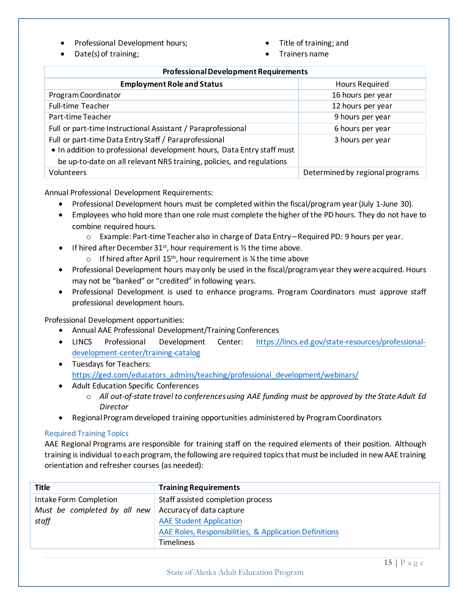- Professional Development hours;
- Date(s) of training;
- Title of training; and
- Trainers name

| <b>Professional Development Requirements</b>                           |                                 |  |  |
|------------------------------------------------------------------------|---------------------------------|--|--|
| <b>Employment Role and Status</b>                                      | <b>Hours Required</b>           |  |  |
| Program Coordinator                                                    | 16 hours per year               |  |  |
| <b>Full-time Teacher</b>                                               | 12 hours per year               |  |  |
| Part-time Teacher                                                      | 9 hours per year                |  |  |
| Full or part-time Instructional Assistant / Paraprofessional           | 6 hours per year                |  |  |
| Full or part-time Data Entry Staff / Paraprofessional                  | 3 hours per year                |  |  |
| . In addition to professional development hours, Data Entry staff must |                                 |  |  |
| be up-to-date on all relevant NRS training, policies, and regulations  |                                 |  |  |
| Volunteers                                                             | Determined by regional programs |  |  |

Annual Professional Development Requirements:

- Professional Development hours must be completed within the fiscal/program year (July 1-June 30).
- Employees who hold more than one role must complete the higher of the PD hours. They do not have to combine required hours.
	- o Example: Part-time Teacher also in charge of Data Entry Required PD: 9 hours per year.
- If hired after December 31<sup>st</sup>, hour requirement is  $\frac{1}{2}$  the time above.
	- $\circ$  If hired after April 15<sup>th</sup>, hour requirement is % the time above
- Professional Development hours may only be used in the fiscal/program year they were acquired. Hours may not be "banked" or "credited" in following years.
- Professional Development is used to enhance programs. Program Coordinators must approve staff professional development hours.

Professional Development opportunities:

- Annual AAE Professional Development/Training Conferences
- LINCS Professional Development Center: [https://lincs.ed.gov/state-resources/professional](https://lincs.ed.gov/state-resources/professional-development-center/training-catalog)[development-center/training-catalog](https://lincs.ed.gov/state-resources/professional-development-center/training-catalog)
- Tuesdays for Teachers: [https://ged.com/educators\\_admins/teaching/professional\\_development/webinars/](https://ged.com/educators_admins/teaching/professional_development/webinars/)
- Adult Education Specific Conferences
	- o *All out-of-state travel to conferences using AAE funding must be approved by the State Adult Ed Director*
- Regional Program developed training opportunities administered by Program Coordinators

#### <span id="page-14-0"></span>Required Training Topics

AAE Regional Programs are responsible for training staff on the required elements of their position. Although training is individual to each program, the following are required topics that must be included in new AAE training orientation and refresher courses (as needed):

| <b>Title</b>                 | <b>Training Requirements</b>                           |
|------------------------------|--------------------------------------------------------|
| Intake Form Completion       | Staff assisted completion process                      |
| Must be completed by all new | Accuracy of data capture                               |
| staff                        | <b>AAE Student Application</b>                         |
|                              | AAE Roles, Responsibilities, & Application Definitions |
|                              | <b>Timeliness</b>                                      |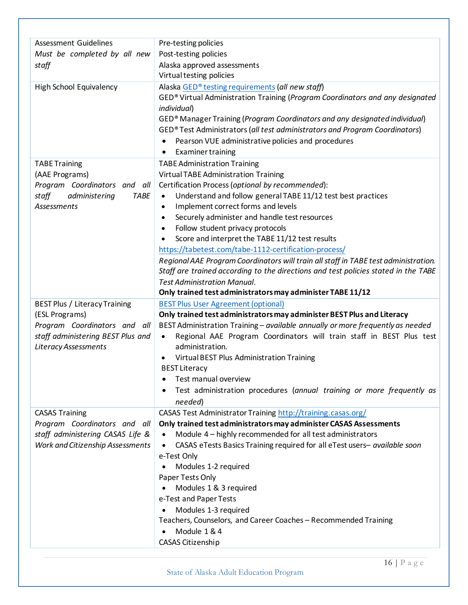| <b>Assessment Guidelines</b>         | Pre-testing policies                                                                        |
|--------------------------------------|---------------------------------------------------------------------------------------------|
| Must be completed by all new         | Post-testing policies                                                                       |
|                                      |                                                                                             |
| staff                                | Alaska approved assessments                                                                 |
|                                      | Virtual testing policies                                                                    |
| High School Equivalency              | Alaska GED® testing requirements (all new staff)                                            |
|                                      | GED® Virtual Administration Training (Program Coordinators and any designated               |
|                                      | individual)                                                                                 |
|                                      | GED® Manager Training (Program Coordinators and any designated individual)                  |
|                                      | GED® Test Administrators (all test administrators and Program Coordinators)                 |
|                                      | Pearson VUE administrative policies and procedures<br>$\bullet$                             |
|                                      | <b>Examiner training</b><br>٠                                                               |
| <b>TABE Training</b>                 | <b>TABE Administration Training</b>                                                         |
| (AAE Programs)                       | <b>Virtual TABE Administration Training</b>                                                 |
| Program Coordinators and all         | Certification Process (optional by recommended):                                            |
| staff<br>administering<br>TABE       | Understand and follow general TABE 11/12 test best practices<br>$\bullet$                   |
| Assessments                          | Implement correct forms and levels<br>$\bullet$                                             |
|                                      | Securely administer and handle test resources<br>$\bullet$                                  |
|                                      | Follow student privacy protocols<br>$\bullet$                                               |
|                                      | Score and interpret the TABE 11/12 test results                                             |
|                                      | https://tabetest.com/tabe-1112-certification-process/                                       |
|                                      | Regional AAE Program Coordinators will train all staff in TABE test administration.         |
|                                      | Staff are trained according to the directions and test policies stated in the TABE          |
|                                      | <b>Test Administration Manual.</b>                                                          |
|                                      | Only trained test administrators may administer TABE 11/12                                  |
|                                      |                                                                                             |
|                                      |                                                                                             |
| <b>BEST Plus / Literacy Training</b> | <b>BEST Plus User Agreement (optional)</b>                                                  |
| (ESL Programs)                       | Only trained test administrators may administer BEST Plus and Literacy                      |
| Program Coordinators and all         | BEST Administration Training - available annually or more frequently as needed<br>$\bullet$ |
| staff administering BEST Plus and    | Regional AAE Program Coordinators will train staff in BEST Plus test<br>administration.     |
| Literacy Assessments                 |                                                                                             |
|                                      | Virtual BEST Plus Administration Training                                                   |
|                                      | <b>BEST Literacy</b>                                                                        |
|                                      | Test manual overview                                                                        |
|                                      | Test administration procedures (annual training or more frequently as                       |
|                                      | needed)                                                                                     |
| <b>CASAS Training</b>                | CASAS Test Administrator Training http://training.casas.org/                                |
| Program Coordinators and all         | Only trained test administrators may administer CASAS Assessments                           |
| staff administering CASAS Life &     | Module 4 - highly recommended for all test administrators                                   |
| Work and Citizenship Assessments     | CASAS eTests Basics Training required for all eTest users- available soon<br>$\bullet$      |
|                                      | e-Test Only                                                                                 |
|                                      | Modules 1-2 required                                                                        |
|                                      | Paper Tests Only                                                                            |
|                                      | Modules 1 & 3 required                                                                      |
|                                      | e-Test and Paper Tests                                                                      |
|                                      | Modules 1-3 required                                                                        |
|                                      | Teachers, Counselors, and Career Coaches - Recommended Training                             |
|                                      | Module 1 & 4                                                                                |
|                                      | CASAS Citizenship                                                                           |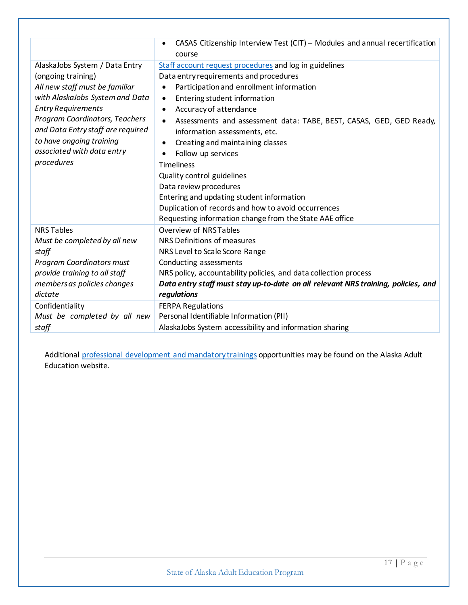|                                   | CASAS Citizenship Interview Test (CIT) - Modules and annual recertification       |
|-----------------------------------|-----------------------------------------------------------------------------------|
|                                   | course                                                                            |
| AlaskaJobs System / Data Entry    | Staff account request procedures and log in guidelines                            |
| (ongoing training)                | Data entry requirements and procedures                                            |
| All new staff must be familiar    | Participation and enrollment information<br>$\bullet$                             |
| with AlaskaJobs System and Data   | Entering student information<br>٠                                                 |
| <b>Entry Requirements</b>         | Accuracy of attendance<br>$\bullet$                                               |
| Program Coordinators, Teachers    | Assessments and assessment data: TABE, BEST, CASAS, GED, GED Ready,<br>$\bullet$  |
| and Data Entry staff are required | information assessments, etc.                                                     |
| to have ongoing training          | Creating and maintaining classes<br>٠                                             |
| associated with data entry        | Follow up services<br>٠                                                           |
| procedures                        | <b>Timeliness</b>                                                                 |
|                                   | Quality control guidelines                                                        |
|                                   | Data review procedures                                                            |
|                                   | Entering and updating student information                                         |
|                                   | Duplication of records and how to avoid occurrences                               |
|                                   | Requesting information change from the State AAE office                           |
| <b>NRS Tables</b>                 | Overview of NRSTables                                                             |
| Must be completed by all new      | NRS Definitions of measures                                                       |
| staff                             | NRS Level to Scale Score Range                                                    |
| <b>Program Coordinators must</b>  | Conducting assessments                                                            |
| provide training to all staff     | NRS policy, accountability policies, and data collection process                  |
| members as policies changes       | Data entry staff must stay up-to-date on all relevant NRS training, policies, and |
| dictate                           | regulations                                                                       |
| Confidentiality                   | <b>FERPA Regulations</b>                                                          |
| Must be completed by all new      | Personal Identifiable Information (PII)                                           |
| staff                             | AlaskaJobs System accessibility and information sharing                           |

Additional [professional development and mandatory trainings](https://jobs.alaska.gov/aae/professional_development.html) opportunities may be found on the Alaska Adult Education website.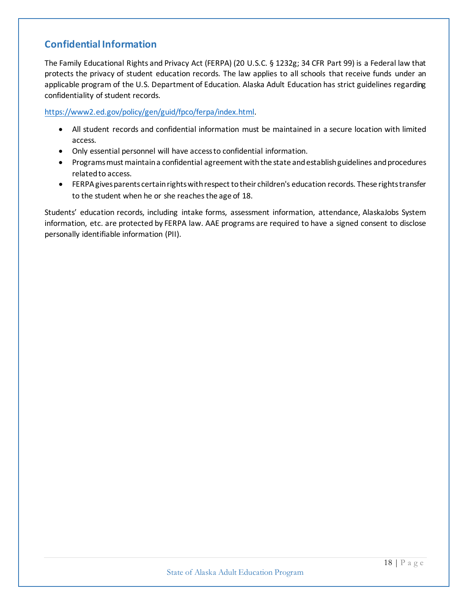# <span id="page-17-0"></span>**Confidential Information**

The Family Educational Rights and Privacy Act (FERPA) (20 U.S.C. § 1232g; 34 CFR Part 99) is a Federal law that protects the privacy of student education records. The law applies to all schools that receive funds under an applicable program of the U.S. Department of Education. Alaska Adult Education has strict guidelines regarding confidentiality of student records.

[https://www2.ed.gov/policy/gen/guid/fpco/ferpa/index.html.](https://www2.ed.gov/policy/gen/guid/fpco/ferpa/index.html)

- All student records and confidential information must be maintained in a secure location with limited access.
- Only essential personnel will have access to confidential information.
- Programsmust maintain a confidential agreement with the state and establish guidelines and procedures related to access.
- FERPA gives parents certain rights with respect to their children's education records. These rights transfer to the student when he or she reaches the age of 18.

Students' education records, including intake forms, assessment information, attendance, AlaskaJobs System information, etc. are protected by FERPA law. AAE programs are required to have a signed consent to disclose personally identifiable information (PII).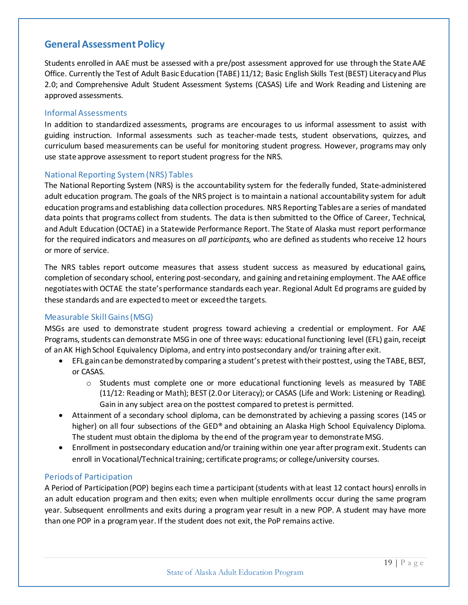# <span id="page-18-0"></span>**General Assessment Policy**

Students enrolled in AAE must be assessed with a pre/post assessment approved for use through the State AAE Office. Currently the Test of Adult Basic Education (TABE) 11/12; Basic English Skills Test (BEST) Literacy and Plus 2.0; and Comprehensive Adult Student Assessment Systems (CASAS) Life and Work Reading and Listening are approved assessments.

#### <span id="page-18-1"></span>Informal Assessments

In addition to standardized assessments, programs are encourages to us informal assessment to assist with guiding instruction. Informal assessments such as teacher-made tests, student observations, quizzes, and curriculum based measurements can be useful for monitoring student progress. However, programs may only use state approve assessment to report student progress for the NRS.

#### <span id="page-18-2"></span>National Reporting System (NRS) Tables

The National Reporting System (NRS) is the accountability system for the federally funded, State-administered adult education program. The goals of the NRS project is to maintain a national accountability system for adult education programs and establishing data collection procedures. NRS Reporting Tables are a series of mandated data points that programs collect from students. The data is then submitted to the Office of Career, Technical, and Adult Education (OCTAE) in a Statewide Performance Report. The State of Alaska must report performance for the required indicators and measures on *all participants,* who are defined as students who receive 12 hours or more of service.

The NRS tables report outcome measures that assess student success as measured by educational gains, completion of secondary school, entering post-secondary, and gaining and retaining employment. The AAE office negotiates with OCTAE the state's performance standards each year. Regional Adult Ed programs are guided by these standards and are expected to meet or exceed the targets.

#### <span id="page-18-3"></span>Measurable Skill Gains (MSG)

MSGs are used to demonstrate student progress toward achieving a credential or employment. For AAE Programs, students can demonstrate MSG in one of three ways: educational functioning level (EFL) gain, receipt of an AK High School Equivalency Diploma, and entry into postsecondary and/or training after exit.

- EFL gain can be demonstrated by comparing a student's pretest with their posttest, using the TABE, BEST, or CASAS.
	- $\circ$  Students must complete one or more educational functioning levels as measured by TABE (11/12: Reading or Math); BEST (2.0 or Literacy); or CASAS (Life and Work: Listening or Reading). Gain in any subject area on the posttest compared to pretest is permitted.
- Attainment of a secondary school diploma, can be demonstrated by achieving a passing scores (145 or higher) on all four subsections of the GED® and obtaining an Alaska High School Equivalency Diploma. The student must obtain the diploma by the end of the program year to demonstrate MSG.
- Enrollment in postsecondary education and/or training within one year after programexit. Students can enroll in Vocational/Technical training; certificate programs; or college/university courses.

#### <span id="page-18-4"></span>Periods of Participation

A Period of Participation (POP) begins each time a participant (students with at least 12 contact hours) enrolls in an adult education program and then exits; even when multiple enrollments occur during the same program year. Subsequent enrollments and exits during a program year result in a new POP. A student may have more than one POP in a program year. If the student does not exit, the PoP remains active.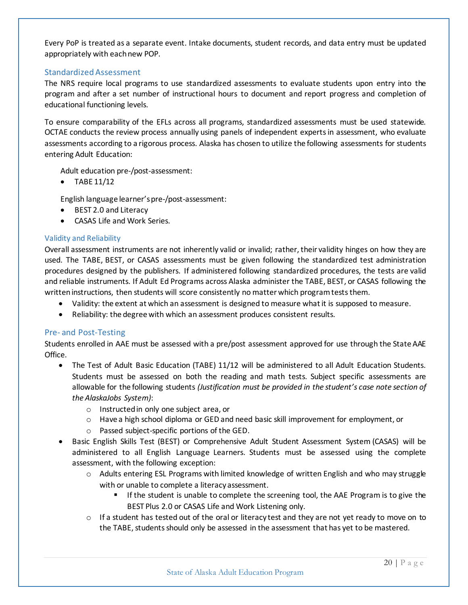Every PoP is treated as a separate event. Intake documents, student records, and data entry must be updated appropriately with each new POP.

#### <span id="page-19-0"></span>Standardized Assessment

The NRS require local programs to use standardized assessments to evaluate students upon entry into the program and after a set number of instructional hours to document and report progress and completion of educational functioning levels.

To ensure comparability of the EFLs across all programs, standardized assessments must be used statewide. OCTAE conducts the review process annually using panels of independent experts in assessment, who evaluate assessments according to a rigorous process. Alaska has chosen to utilize the following assessments for students entering Adult Education:

Adult education pre-/post-assessment:

• TABE 11/12

English language learner's pre-/post-assessment:

- BEST 2.0 and Literacy
- CASAS Life and Work Series.

#### <span id="page-19-1"></span>Validity and Reliability

Overall assessment instruments are not inherently valid or invalid; rather, their validity hinges on how they are used. The TABE, BEST, or CASAS assessments must be given following the standardized test administration procedures designed by the publishers. If administered following standardized procedures, the tests are valid and reliable instruments. If Adult Ed Programs across Alaska administer the TABE, BEST, or CASAS following the written instructions, then students will score consistently no matter which program tests them.

- Validity: the extent at which an assessment is designed to measure what it is supposed to measure.
- Reliability: the degree with which an assessment produces consistent results.

#### <span id="page-19-2"></span>Pre- and Post-Testing

Students enrolled in AAE must be assessed with a pre/post assessment approved for use through the State AAE Office.

- The Test of Adult Basic Education (TABE) 11/12 will be administered to all Adult Education Students. Students must be assessed on both the reading and math tests. Subject specific assessments are allowable for the following students *(Justification must be provided in the student's case note section of the AlaskaJobs System)*:
	- o Instructed in only one subject area, or
	- o Have a high school diploma or GED and need basic skill improvement for employment, or
	- o Passed subject-specific portions of the GED.
- Basic English Skills Test (BEST) or Comprehensive Adult Student Assessment System (CASAS) will be administered to all English Language Learners. Students must be assessed using the complete assessment, with the following exception:
	- o Adults entering ESL Programs with limited knowledge of written English and who may struggle with or unable to complete a literacy assessment.
		- If the student is unable to complete the screening tool, the AAE Program is to give the BEST Plus 2.0 or CASAS Life and Work Listening only.
	- $\circ$  If a student has tested out of the oral or literacy test and they are not yet ready to move on to the TABE, students should only be assessed in the assessment that has yet to be mastered.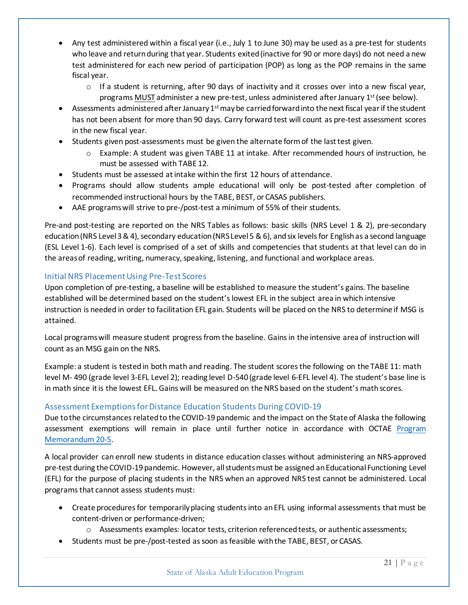- Any test administered within a fiscal year (i.e., July 1 to June 30) may be used as a pre-test for students who leave and return during that year. Students exited (inactive for 90 or more days) do not need a new test administered for each new period of participation (POP) as long as the POP remains in the same fiscal year.
	- $\circ$  If a student is returning, after 90 days of inactivity and it crosses over into a new fiscal year, programs MUST administer a new pre-test, unless administered after January 1<sup>st</sup> (see below).
- Assessments administered after January  $1<sup>st</sup>$  may be carried forward into the next fiscal year if the student has not been absent for more than 90 days. Carry forward test will count as pre-test assessment scores in the new fiscal year.
- Students given post-assessments must be given the alternate form of the last test given.
	- o Example: A student was given TABE 11 at intake. After recommended hours of instruction, he must be assessed with TABE 12.
- Students must be assessed at intake within the first 12 hours of attendance.
- Programs should allow students ample educational will only be post-tested after completion of recommended instructional hours by the TABE, BEST, or CASAS publishers.
- AAE programs will strive to pre-/post-test a minimum of 55% of their students.

Pre-and post-testing are reported on the NRS Tables as follows: basic skills (NRS Level 1 & 2), pre-secondary education (NRS Level 3 & 4), secondary education (NRS Level 5 & 6), and six levels for English as a second language (ESL Level 1-6). Each level is comprised of a set of skills and competencies that students at that level can do in the areas of reading, writing, numeracy, speaking, listening, and functional and workplace areas.

#### <span id="page-20-0"></span>Initial NRS Placement Using Pre-Test Scores

Upon completion of pre-testing, a baseline will be established to measure the student's gains. The baseline established will be determined based on the student's lowest EFL in the subject area in which intensive instruction is needed in order to facilitation EFL gain. Students will be placed on the NRS to determine if MSG is attained.

Local programs will measure student progress from the baseline. Gains in the intensive area of instruction will count as an MSG gain on the NRS.

Example: a student is tested in both math and reading. The student scores the following on the TABE 11: math level M- 490 (grade level 3-EFL Level 2); reading level D-540 (grade level 6-EFL level 4). The student's base line is in math since it is the lowest EFL. Gains will be measured on the NRS based on the student's math scores.

# <span id="page-20-1"></span>Assessment Exemptions for Distance Education Students During COVID-19

Due to the circumstances related to the COVID-19 pandemic and the impact on the State of Alaska the following assessment exemptions will remain in place until further notice in accordance with OCTAE [Program](https://www2.ed.gov/about/offices/list/ovae/pi/AdultEd/octae-pm-20-5-covid-faqs-final.pdf)  [Memorandum 20-5.](https://www2.ed.gov/about/offices/list/ovae/pi/AdultEd/octae-pm-20-5-covid-faqs-final.pdf)

A local provider can enroll new students in distance education classes without administering an NRS-approved pre-test during the COVID-19 pandemic. However, all students must be assigned an Educational Functioning Level (EFL) for the purpose of placing students in the NRS when an approved NRS test cannot be administered. Local programsthat cannot assess students must:

- Create procedures for temporarily placing students into an EFL using informal assessments that must be content-driven or performance-driven;
	- o Assessments examples: locator tests, criterion referenced tests, or authentic assessments;
- Students must be pre-/post-tested as soon as feasible with the TABE, BEST, or CASAS.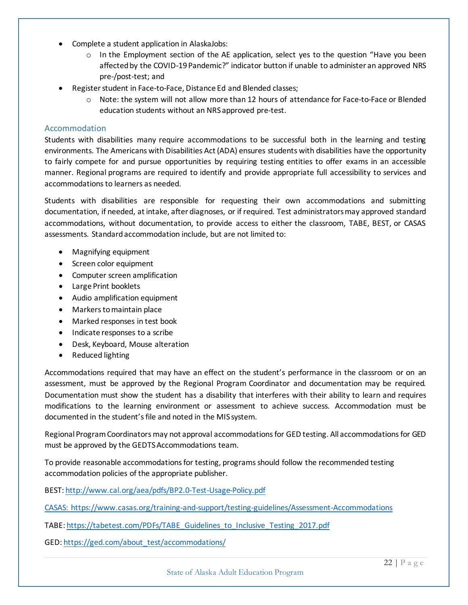- Complete a student application in AlaskaJobs:
	- $\circ$  In the Employment section of the AE application, select yes to the question "Have you been affected by the COVID-19 Pandemic?" indicator button if unable to administer an approved NRS pre-/post-test; and
- Register student in Face-to-Face, Distance Ed and Blended classes;
	- o Note: the system will not allow more than 12 hours of attendance for Face-to-Face or Blended education students without an NRS approved pre-test.

#### <span id="page-21-0"></span>Accommodation

Students with disabilities many require accommodations to be successful both in the learning and testing environments. The Americans with Disabilities Act (ADA) ensures students with disabilities have the opportunity to fairly compete for and pursue opportunities by requiring testing entities to offer exams in an accessible manner. Regional programs are required to identify and provide appropriate full accessibility to services and accommodations to learners as needed.

Students with disabilities are responsible for requesting their own accommodations and submitting documentation, if needed, at intake, after diagnoses, or if required. Test administrators may approved standard accommodations, without documentation, to provide access to either the classroom, TABE, BEST, or CASAS assessments. Standard accommodation include, but are not limited to:

- Magnifying equipment
- Screen color equipment
- Computer screen amplification
- Large Print booklets
- Audio amplification equipment
- Markers to maintain place
- Marked responses in test book
- Indicate responses to a scribe
- Desk, Keyboard, Mouse alteration
- Reduced lighting

Accommodations required that may have an effect on the student's performance in the classroom or on an assessment, must be approved by the Regional Program Coordinator and documentation may be required. Documentation must show the student has a disability that interferes with their ability to learn and requires modifications to the learning environment or assessment to achieve success. Accommodation must be documented in the student's file and noted in the MIS system.

Regional Program Coordinators may not approval accommodations for GED testing. All accommodations for GED must be approved by the GEDTS Accommodations team.

To provide reasonable accommodationsfor testing, programs should follow the recommended testing accommodation policies of the appropriate publisher.

BEST[: http://www.cal.org/aea/pdfs/BP2.0-Test-Usage-Policy.pdf](http://www.cal.org/aea/pdfs/BP2.0-Test-Usage-Policy.pdf)

CASAS: https://www.casas.org/training-and-support/testing-guidelines/Assessment-Accommodations

TABE[: https://tabetest.com/PDFs/TABE\\_Guidelines\\_to\\_Inclusive\\_Testing\\_2017.pdf](https://tabetest.com/PDFs/TABE_Guidelines_to_Inclusive_Testing_2017.pdf)

GED[: https://ged.com/about\\_test/accommodations/](https://ged.com/about_test/accommodations/)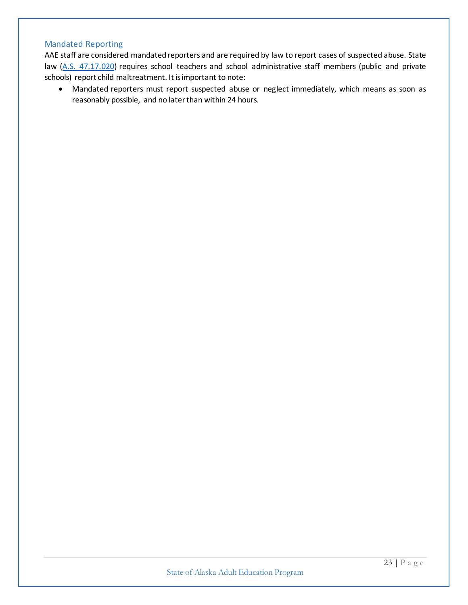# <span id="page-22-0"></span>Mandated Reporting

AAE staff are considered mandated reporters and are required by law to report cases of suspected abuse. State law [\(A.S. 47.17.020\)](http://dhss.alaska.gov/ocs/Pages/childrensjustice/reporting/references_law.aspx#47.17.020) requires school teachers and school administrative staff members (public and private schools) report child maltreatment. It is important to note:

• Mandated reporters must report suspected abuse or neglect immediately, which means as soon as reasonably possible, and no later than within 24 hours.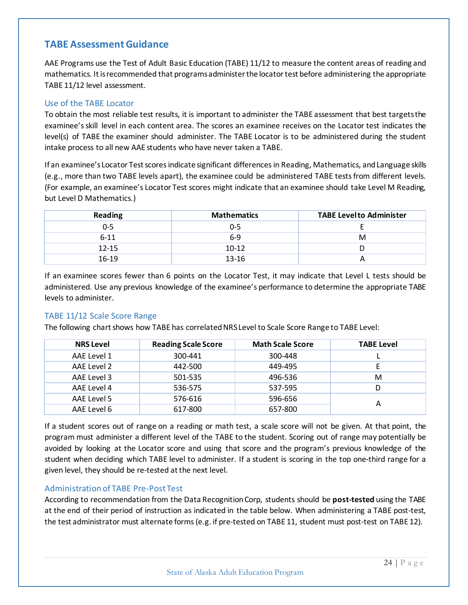# <span id="page-23-0"></span>**TABE Assessment Guidance**

AAE Programs use the Test of Adult Basic Education (TABE) 11/12 to measure the content areas of reading and mathematics. It is recommended that programs administer the locator test before administering the appropriate TABE 11/12 level assessment.

#### <span id="page-23-1"></span>Use of the TABE Locator

To obtain the most reliable test results, it is important to administer the TABE assessment that best targets the examinee's skill level in each content area. The scores an examinee receives on the Locator test indicates the level(s) of TABE the examiner should administer. The TABE Locator is to be administered during the student intake process to all new AAE students who have never taken a TABE.

If an examinee's Locator Test scores indicate significant differences in Reading, Mathematics, and Language skills (e.g., more than two TABE levels apart), the examinee could be administered TABE tests from different levels. (For example, an examinee's Locator Test scores might indicate that an examinee should take Level M Reading, but Level D Mathematics.)

| <b>Reading</b> | <b>Mathematics</b> | <b>TABE Levelto Administer</b> |
|----------------|--------------------|--------------------------------|
| $0 - 5$        | 0-5                |                                |
| $6 - 11$       | $6-9$              | M                              |
| $12 - 15$      | $10-12$            |                                |
| $16-19$        | 13-16              |                                |

If an examinee scores fewer than 6 points on the Locator Test, it may indicate that Level L tests should be administered. Use any previous knowledge of the examinee's performance to determine the appropriate TABE levels to administer.

#### <span id="page-23-2"></span>TABE 11/12 Scale Score Range

The following chart shows how TABE has correlated NRS Level to Scale Score Range to TABE Level:

| <b>NRS Level</b> | <b>Reading Scale Score</b> | <b>Math Scale Score</b> | <b>TABE Level</b> |
|------------------|----------------------------|-------------------------|-------------------|
| AAE Level 1      | 300-441                    | 300-448                 |                   |
| AAE Level 2      | 442-500                    | 449-495                 |                   |
| AAE Level 3      | 501-535                    | 496-536                 | м                 |
| AAE Level 4      | 536-575                    | 537-595                 |                   |
| AAE Level 5      | 576-616                    | 596-656                 | А                 |
| AAE Level 6      | 617-800                    | 657-800                 |                   |

If a student scores out of range on a reading or math test, a scale score will not be given. At that point, the program must administer a different level of the TABE to the student. Scoring out of range may potentially be avoided by looking at the Locator score and using that score and the program's previous knowledge of the student when deciding which TABE level to administer. If a student is scoring in the top one-third range for a given level, they should be re-tested at the next level.

#### <span id="page-23-3"></span>Administration of TABE Pre-Post Test

According to recommendation from the Data Recognition Corp, students should be **post-tested** using the TABE at the end of their period of instruction as indicated in the table below. When administering a TABE post-test, the test administrator must alternate forms (e.g. if pre-tested on TABE 11, student must post-test on TABE 12).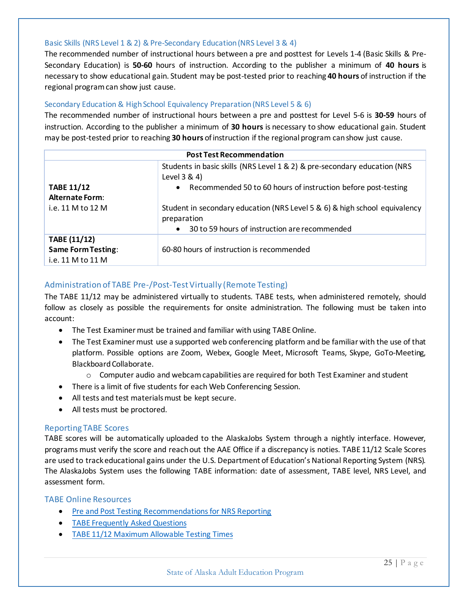#### <span id="page-24-0"></span>Basic Skills (NRS Level 1 & 2) & Pre-Secondary Education (NRS Level 3 & 4)

The recommended number of instructional hours between a pre and posttest for Levels 1-4 (Basic Skills & Pre-Secondary Education) is **50-60** hours of instruction. According to the publisher a minimum of **40 hours** is necessary to show educational gain. Student may be post-tested prior to reaching **40 hours** of instruction if the regional program can show just cause.

#### <span id="page-24-1"></span>Secondary Education & High School Equivalency Preparation (NRS Level 5 & 6)

The recommended number of instructional hours between a pre and posttest for Level 5-6 is **30-59** hours of instruction. According to the publisher a minimum of **30 hours** is necessary to show educational gain. Student may be post-tested prior to reaching **30 hours** of instruction if the regional program can show just cause.

| <b>Post Test Recommendation</b>                                |                                                                                           |  |  |  |
|----------------------------------------------------------------|-------------------------------------------------------------------------------------------|--|--|--|
|                                                                | Students in basic skills (NRS Level 1 & 2) & pre-secondary education (NRS<br>Level 3 & 4) |  |  |  |
| <b>TABE 11/12</b><br><b>Alternate Form:</b>                    | Recommended 50 to 60 hours of instruction before post-testing<br>$\bullet$                |  |  |  |
| i.e. 11 M to 12 M                                              | Student in secondary education (NRS Level 5 & 6) & high school equivalency<br>preparation |  |  |  |
|                                                                | 30 to 59 hours of instruction are recommended<br>$\bullet$                                |  |  |  |
| TABE (11/12)<br><b>Same Form Testing:</b><br>i.e. 11 M to 11 M | 60-80 hours of instruction is recommended                                                 |  |  |  |

#### <span id="page-24-2"></span>Administration of TABE Pre-/Post-Test Virtually (Remote Testing)

The TABE 11/12 may be administered virtually to students. TABE tests, when administered remotely, should follow as closely as possible the requirements for onsite administration. The following must be taken into account:

- The Test Examiner must be trained and familiar with using TABE Online.
- The Test Examiner must use a supported web conferencing platform and be familiar with the use of that platform. Possible options are Zoom, Webex, Google Meet, Microsoft Teams, Skype, GoTo-Meeting, Blackboard Collaborate.
	- $\circ$  Computer audio and webcam capabilities are required for both Test Examiner and student
- There is a limit of five students for each Web Conferencing Session.
- All tests and test materials must be kept secure.
- All tests must be proctored.

#### <span id="page-24-3"></span>Reporting TABE Scores

TABE scores will be automatically uploaded to the AlaskaJobs System through a nightly interface. However, programs must verify the score and reach out the AAE Office if a discrepancy is noties. TABE 11/12 Scale Scores are used to track educational gains under the U.S. Department of Education's National Reporting System (NRS). The AlaskaJobs System uses the following TABE information: date of assessment, TABE level, NRS Level, and assessment form.

#### <span id="page-24-4"></span>TABE Online Resources

- [Pre and Post Testing Recommendations for NRS Reporting](https://tabetest.com/PDFs/Pre_Post_Testing_Recommendations_NRS_Reporting_TABE_TABE_CLAS_E.pdf)
- [TABE Frequently Asked Questions](https://tabetest.com/resources-2/testing-information/faqs/)
- [TABE 11/12 Maximum Allowable Testing Times](http://www.tabetest.com/PDFs/TABE_11_12_Max_Testing_Times.pdf)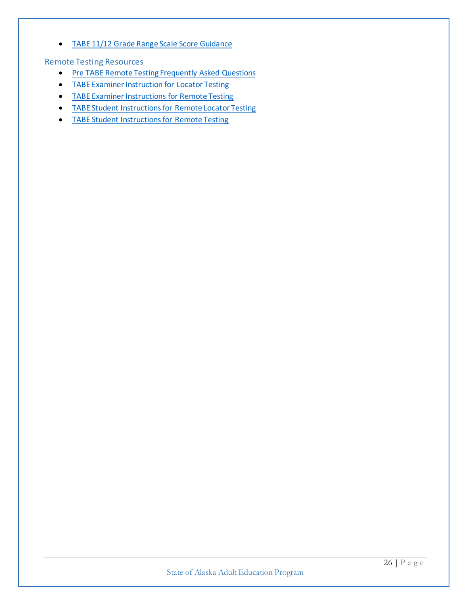• [TABE 11/12 Grade Range Scale Score Guidance](https://tabetest.com/PDFs/TABE_GradeRange.pdf)

<span id="page-25-0"></span>Remote Testing Resources

- [Pre TABE Remote Testing Frequently Asked Questions](https://tabetest.com/PDFs/TABE_Remote_Testing_FAQs.pdf)
- [TABE Examiner Instruction for Locator Testing](https://drive.google.com/file/d/10-1SWuJ3RaAmgsGxjXPBP03ebxygzz4U/view)
- [TABE Examiner Instructions for Remote Testing](https://drive.google.com/file/d/1MFJ_B-eJQxukOxRFiUDqSXpMVTMIuGPZ/view)
- [TABE Student Instructions for Remote Locator Testing](https://drive.google.com/file/d/1H46e4V_9hd6IxNLWyarQOWSI3sfUTTXE/view)
- [TABE Student Instructions for Remote Testing](https://drive.google.com/file/d/14dSP6cvmqIJQKz8Smlc_FWVLWpTAUwBx/view)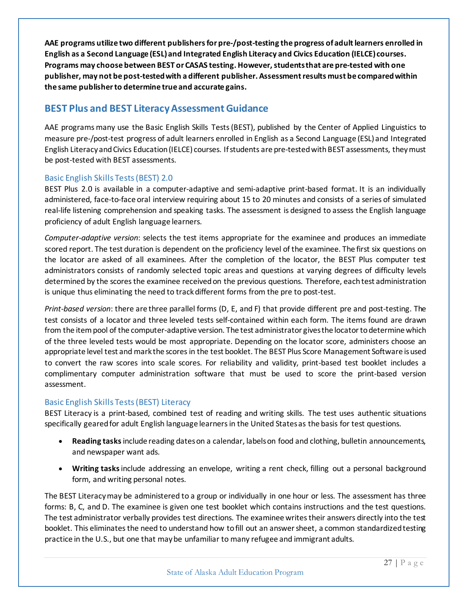**AAE programs utilize two different publishers for pre-/post-testing the progress of adult learners enrolled in English as a Second Language (ESL) and Integrated English Literacy and Civics Education (IELCE) courses. Programs may choose between BEST or CASAS testing. However, students that are pre-tested with one publisher, may not be post-tested with a different publisher. Assessment results must be compared within the same publisherto determine true and accurate gains.** 

# <span id="page-26-0"></span>**BEST Plus and BEST Literacy Assessment Guidance**

AAE programs many use the Basic English Skills Tests (BEST), published by the Center of Applied Linguistics to measure pre-/post-test progress of adult learners enrolled in English as a Second Language (ESL) and Integrated English Literacy and Civics Education (IELCE) courses. If students are pre-tested with BEST assessments, they must be post-tested with BEST assessments.

#### <span id="page-26-1"></span>Basic English Skills Tests (BEST) 2.0

BEST Plus 2.0 is available in a computer-adaptive and semi-adaptive print-based format. It is an individually administered, face-to-face oral interview requiring about 15 to 20 minutes and consists of a series of simulated real-life listening comprehension and speaking tasks. The assessment is designed to assess the English language proficiency of adult English language learners.

*Computer-adaptive version*: selects the test items appropriate for the examinee and produces an immediate scored report. The test duration is dependent on the proficiency level of the examinee. The first six questions on the locator are asked of all examinees. After the completion of the locator, the BEST Plus computer test administrators consists of randomly selected topic areas and questions at varying degrees of difficulty levels determined by the scores the examinee received on the previous questions. Therefore, eachtest administration is unique thus eliminating the need to track different forms from the pre to post-test.

*Print-based version*: there are three parallel forms (D, E, and F) that provide different pre and post-testing. The test consists of a locator and three leveled tests self-contained within each form. The items found are drawn from the item pool of the computer-adaptive version. The test administrator gives the locator to determine which of the three leveled tests would be most appropriate. Depending on the locator score, administers choose an appropriate level test and mark the scores in the test booklet. The BEST Plus Score Management Software is used to convert the raw scores into scale scores. For reliability and validity, print-based test booklet includes a complimentary computer administration software that must be used to score the print-based version assessment.

#### <span id="page-26-2"></span>Basic English Skills Tests (BEST) Literacy

BEST Literacy is a print-based, combined test of reading and writing skills. The test uses authentic situations specifically geared for adult English language learners in the United States as the basis for test questions.

- **Reading tasks**include reading dates on a calendar, labels on food and clothing, bulletin announcements, and newspaper want ads.
- **Writing tasks**include addressing an envelope, writing a rent check, filling out a personal background form, and writing personal notes.

The BEST Literacy may be administered to a group or individually in one hour or less. The assessment has three forms: B, C, and D. The examinee is given one test booklet which contains instructions and the test questions. The test administrator verbally provides test directions. The examinee writes their answers directly into the test booklet. This eliminates the need to understand how to fill out an answer sheet, a common standardized testing practice in the U.S., but one that may be unfamiliar to many refugee and immigrant adults.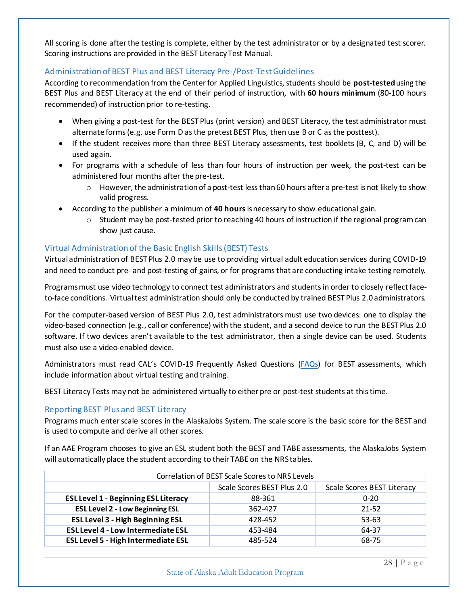All scoring is done after the testing is complete, either by the test administrator or by a designated test scorer. Scoring instructions are provided in the BEST Literacy Test Manual.

#### <span id="page-27-0"></span>Administration of BEST Plus and BEST Literacy Pre-/Post-TestGuidelines

According to recommendation from the Center for Applied Linguistics, students should be **post-tested**using the BEST Plus and BEST Literacy at the end of their period of instruction, with **60 hours minimum** (80-100 hours recommended) of instruction prior to re-testing.

- When giving a post-test for the BEST Plus (print version) and BEST Literacy, the test administrator must alternate forms (e.g. use Form D as the pretest BEST Plus, then use B or C as the posttest).
- If the student receives more than three BEST Literacy assessments, test booklets (B, C, and D) will be used again.
- For programs with a schedule of less than four hours of instruction per week, the post-test can be administered four months after the pre-test.
	- $\circ$  However, the administration of a post-test less than 60 hours after a pre-test is not likely to show valid progress.
- According to the publisher a minimum of **40 hours**is necessary to show educational gain.
	- $\circ$  Student may be post-tested prior to reaching 40 hours of instruction if the regional program can show just cause.

#### <span id="page-27-1"></span>Virtual Administration of the Basic English Skills (BEST) Tests

Virtual administration of BEST Plus 2.0 may be use to providing virtual adult education services during COVID-19 and need to conduct pre- and post-testing of gains, or for programs that are conducting intake testing remotely.

Programs must use video technology to connect test administrators and students in order to closely reflect faceto-face conditions. Virtual test administration should only be conducted by trained BEST Plus 2.0 administrators.

For the computer-based version of BEST Plus 2.0, test administrators must use two devices: one to display the video-based connection (e.g., call or conference) with the student, and a second device to run the BEST Plus 2.0 software. If two devices aren't available to the test administrator, then a single device can be used. Students must also use a video-enabled device.

Administrators must read CAL's COVID-19 Frequently Asked Questions [\(FAQs\)](http://www.cal.org/aea/pdfs/FAQs-COVID-19.pdf) for BEST assessments, which include information about virtual testing and training.

BEST Literacy Tests may not be administered virtually to either pre or post-test students at this time.

#### <span id="page-27-2"></span>Reporting BEST Plus and BEST Literacy

Programs much enter scale scores in the AlaskaJobs System. The scale score is the basic score for the BEST and is used to compute and derive all other scores.

If an AAE Program chooses to give an ESL student both the BEST and TABE assessments, the AlaskaJobs System will automatically place the student according to their TABE on the NRS tables.

| Correlation of BEST Scale Scores to NRS Levels |                            |                                   |  |  |  |  |
|------------------------------------------------|----------------------------|-----------------------------------|--|--|--|--|
|                                                | Scale Scores BEST Plus 2.0 | <b>Scale Scores BEST Literacy</b> |  |  |  |  |
| <b>ESL Level 1 - Beginning ESL Literacy</b>    | 88-361                     | $0 - 20$                          |  |  |  |  |
| <b>ESL Level 2 - Low Beginning ESL</b>         | 362-427                    | $21 - 52$                         |  |  |  |  |
| <b>ESL Level 3 - High Beginning ESL</b>        | 428-452                    | 53-63                             |  |  |  |  |
| <b>ESL Level 4 - Low Intermediate ESL</b>      | 453-484                    | 64-37                             |  |  |  |  |
| <b>ESL Level 5 - High Intermediate ESL</b>     | 485-524                    | 68-75                             |  |  |  |  |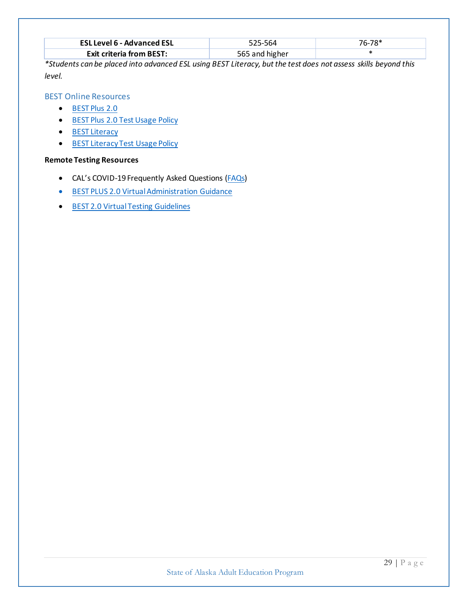| <b>ESL Level 6 - Advanced ESL</b> | 525-564        | 76-78* |
|-----------------------------------|----------------|--------|
| <b>Exit criteria from BEST:</b>   | 565 and higher |        |

*\*Students can be placed into advanced ESL using BEST Literacy, but the test does not assess skills beyond this level.*

#### <span id="page-28-0"></span>BEST Online Resources

- [BEST Plus 2.0](http://www.cal.org/aea/bp/)
- [BEST Plus 2.0 Test Usage Policy](http://www.cal.org/aea/pdfs/BP2.0-Test-Usage-Policy.pdf)
- [BEST Literacy](http://www.cal.org/aea/bl/)
- [BEST Literacy Test Usage Policy](http://www.cal.org/aea/pdfs/BL-Test-Usage-Policy.pdf)

# **Remote Testing Resources**

- CAL's COVID-19 Frequently Asked Questions [\(FAQs\)](http://www.cal.org/aea/pdfs/FAQs-COVID-19.pdf)
- [BEST PLUS 2.0 Virtual Administration Guidance](http://www.cal.org/aea/pdfs/BEST_Plus_2_Virtual_Test_Administration_Guidance.pdf)
- [BEST 2.0 Virtual Testing Guidelines](http://www.cal.org/aea/covid-19/)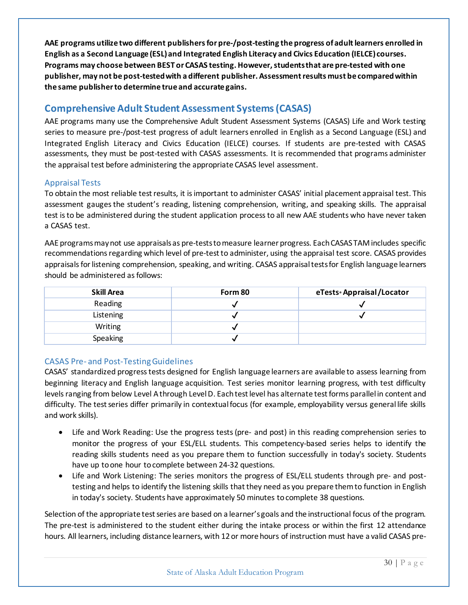**AAE programs utilize two different publishers for pre-/post-testing the progress of adult learners enrolled in English as a Second Language (ESL) and Integrated English Literacy and Civics Education (IELCE) courses. Programs may choose between BEST or CASAS testing. However, students that are pre-tested with one publisher, may not be post-tested with a different publisher. Assessment results must be compared within the same publisher to determine true and accurate gains.** 

# <span id="page-29-0"></span>**Comprehensive Adult Student Assessment Systems (CASAS)**

AAE programs many use the Comprehensive Adult Student Assessment Systems (CASAS) Life and Work testing series to measure pre-/post-test progress of adult learners enrolled in English as a Second Language (ESL) and Integrated English Literacy and Civics Education (IELCE) courses. If students are pre-tested with CASAS assessments, they must be post-tested with CASAS assessments. It is recommended that programs administer the appraisal test before administering the appropriate CASAS level assessment.

#### <span id="page-29-1"></span>Appraisal Tests

To obtain the most reliable test results, it is important to administer CASAS' initial placement appraisal test. This assessment gauges the student's reading, listening comprehension, writing, and speaking skills. The appraisal test is to be administered during the student application process to all new AAE students who have never taken a CASAS test.

AAE programsmay not use appraisals as pre-tests to measure learner progress. Each CASAS TAM includes specific recommendations regarding which level of pre-test to administer, using the appraisal test score. CASAS provides appraisals for listening comprehension, speaking, and writing. CASAS appraisal tests for English language learners should be administered as follows:

| Skill Area      | Form 80 | eTests • Appraisal / Locator |
|-----------------|---------|------------------------------|
| Reading         |         |                              |
| Listening       |         |                              |
| Writing         |         |                              |
| <b>Speaking</b> |         |                              |

# <span id="page-29-2"></span>CASAS Pre- and Post-TestingGuidelines

CASAS' standardized progress tests designed for English language learners are available to assess learning from beginning literacy and English language acquisition. Test series monitor learning progress, with test difficulty levels ranging from below Level A through Level D. Each test level has alternate test forms parallel in content and difficulty. The test series differ primarily in contextual focus (for example, employability versus general life skills and work skills).

- Life and Work Reading: Use the progress tests (pre- and post) in this reading comprehension series to monitor the progress of your ESL/ELL students. This competency-based series helps to identify the reading skills students need as you prepare them to function successfully in today's society. Students have up to one hour to complete between 24-32 questions.
- Life and Work Listening: The series monitors the progress of ESL/ELL students through pre- and posttesting and helps to identify the listening skills that they need as you prepare them to function in English in today's society. Students have approximately 50 minutes to complete 38 questions.

Selection of the appropriate test series are based on a learner's goals and the instructional focus of the program. The pre-test is administered to the student either during the intake process or within the first 12 attendance hours. All learners, including distance learners, with 12 or more hours of instruction must have a valid CASAS pre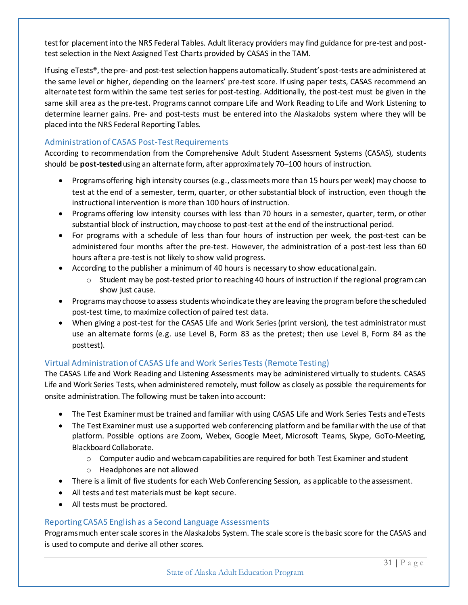test for placement into the NRS Federal Tables. Adult literacy providers may find guidance for pre-test and posttest selection in the Next Assigned Test Charts provided by CASAS in the TAM.

If using eTests®, the pre- and post-test selection happens automatically. Student'spost-tests are administered at the same level or higher, depending on the learners' pre-test score. If using paper tests, CASAS recommend an alternate test form within the same test series for post-testing. Additionally, the post-test must be given in the same skill area as the pre-test. Programs cannot compare Life and Work Reading to Life and Work Listening to determine learner gains. Pre- and post-tests must be entered into the AlaskaJobs system where they will be placed into the NRS Federal Reporting Tables.

#### Administration of CASAS Post-Test Requirements

According to recommendation from the Comprehensive Adult Student Assessment Systems (CASAS), students should be **post-tested**using an alternate form, after approximately 70–100 hours of instruction.

- Programs offering high intensity courses (e.g., class meets more than 15 hours per week) may choose to test at the end of a semester, term, quarter, or other substantial block of instruction, even though the instructional intervention is more than 100 hours of instruction.
- Programs offering low intensity courses with less than 70 hours in a semester, quarter, term, or other substantial block of instruction, may choose to post-test at the end of the instructional period.
- For programs with a schedule of less than four hours of instruction per week, the post-test can be administered four months after the pre-test. However, the administration of a post-test less than 60 hours after a pre-test is not likely to show valid progress.
- According to the publisher a minimum of 40 hours is necessary to show educational gain.
	- $\circ$  Student may be post-tested prior to reaching 40 hours of instruction if the regional program can show just cause.
- Programs may choose to assess students who indicate they are leaving the program before the scheduled post-test time, to maximize collection of paired test data.
- When giving a post-test for the CASAS Life and Work Series (print version), the test administrator must use an alternate forms (e.g. use Level B, Form 83 as the pretest; then use Level B, Form 84 as the posttest).

# <span id="page-30-0"></span>Virtual Administration of CASAS Life and Work Series Tests (Remote Testing)

The CASAS Life and Work Reading and Listening Assessments may be administered virtually to students. CASAS Life and Work Series Tests, when administered remotely, must follow as closely as possible the requirements for onsite administration. The following must be taken into account:

- The Test Examiner must be trained and familiar with using CASAS Life and Work Series Tests and eTests
- The Test Examiner must use a supported web conferencing platform and be familiar with the use of that platform. Possible options are Zoom, Webex, Google Meet, Microsoft Teams, Skype, GoTo-Meeting, Blackboard Collaborate.
	- $\circ$  Computer audio and webcam capabilities are required for both Test Examiner and student
	- o Headphones are not allowed
- There is a limit of five students for each Web Conferencing Session, as applicable to the assessment.
- All tests and test materials must be kept secure.
- All tests must be proctored.

#### <span id="page-30-1"></span>Reporting CASAS English as a Second Language Assessments

Programs much enter scale scores in the AlaskaJobs System. The scale score is the basic score for the CASAS and is used to compute and derive all other scores.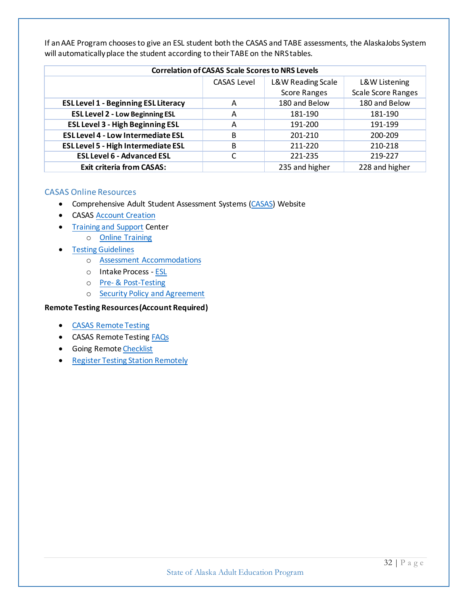| <b>Correlation of CASAS Scale Scores to NRS Levels</b> |                    |                     |                           |  |  |  |
|--------------------------------------------------------|--------------------|---------------------|---------------------------|--|--|--|
|                                                        | <b>CASAS Level</b> | L&W Reading Scale   | L&W Listening             |  |  |  |
|                                                        |                    | <b>Score Ranges</b> | <b>Scale Score Ranges</b> |  |  |  |
| <b>ESL Level 1 - Beginning ESL Literacy</b>            | A                  | 180 and Below       | 180 and Below             |  |  |  |
| <b>ESL Level 2 - Low Beginning ESL</b>                 | A                  | 181-190             | 181-190                   |  |  |  |
| <b>ESL Level 3 - High Beginning ESL</b>                | А                  | 191-200             | 191-199                   |  |  |  |
| <b>ESL Level 4 - Low Intermediate ESL</b>              | B                  | 201-210             | 200-209                   |  |  |  |
| <b>ESL Level 5 - High Intermediate ESL</b>             | В                  | 211-220             | 210-218                   |  |  |  |
| <b>ESL Level 6 - Advanced ESL</b>                      |                    | 221-235             | 219-227                   |  |  |  |
| <b>Exit criteria from CASAS:</b>                       |                    | 235 and higher      | 228 and higher            |  |  |  |

If an AAE Program chooses to give an ESL student both the CASAS and TABE assessments, the AlaskaJobs System will automatically place the student according to their TABE on the NRS tables.

#### <span id="page-31-0"></span>CASAS Online Resources

- Comprehensive Adult Student Assessment Systems [\(CASAS\)](https://www.casas.org/) Website
- CASAS [Account Creation](https://www.casas.org/CreateAccount.aspx)
- [Training and Support](https://www.casas.org/training-and-support) Center
	- o [Online Training](http://training.casas.org/)
- [Testing Guidelines](https://www.casas.org/training-and-support/testing-guidelines)
	- o [Assessment Accommodations](https://www.casas.org/training-and-support/testing-guidelines/Assessment-Accommodations)
	- o Intake Process [ESL](https://www.casas.org/docs/default-source/pagecontents/casas-esl-ell-intake-process.pdf?sfvrsn=e1c1a2e9_12?Status=Master)
	- o Pre- [& Post-Testing](https://www.casas.org/training-and-support/testing-guidelines/pre--post-testing)
	- o [Security Policy and Agreement](https://www.casas.org/about-casas/privacy-and-copyright-policy)

#### **Remote Testing Resources (Account Required)**

- [CASAS Remote Testing](https://www.casas.org/product-overviews/remote-testing)
- CASAS Remote Testing [FAQs](https://www.casas.org/docs/default-source/remote-testing/remote-testing-faqs.pdf?sfvrsn=a3cf335a_16?Status=Master)
- Going Remot[e Checklist](https://www.casas.org/docs/default-source/remote-testing/going-remote!-checklist.pdf?sfvrsn=bac8335a_20?Status=Master)
- [Register Testing Station Remotely](https://www.casas.org/docs/default-source/remote-testing/register-testing-stations-remotely.pdf?sfvrsn=e82b325a_2?Status=Master)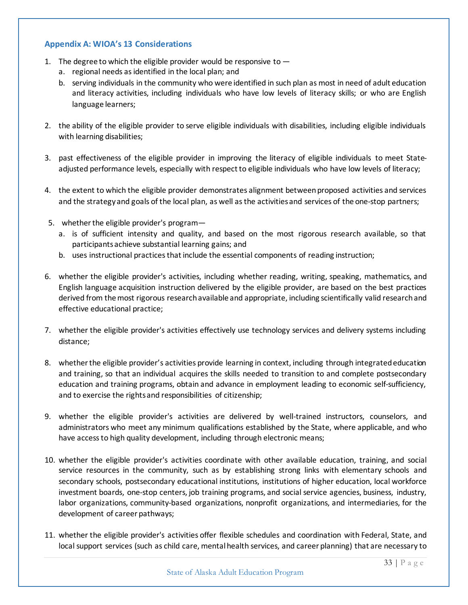#### <span id="page-32-0"></span>**Appendix A: WIOA's 13 Considerations**

- 1. The degree to which the eligible provider would be responsive to  $$ 
	- a. regional needs as identified in the local plan; and
	- b. serving individuals in the community who were identified in such plan as most in need of adult education and literacy activities, including individuals who have low levels of literacy skills; or who are English language learners;
- 2. the ability of the eligible provider to serve eligible individuals with disabilities, including eligible individuals with learning disabilities;
- 3. past effectiveness of the eligible provider in improving the literacy of eligible individuals to meet Stateadjusted performance levels, especially with respect to eligible individuals who have low levels of literacy;
- 4. the extent to which the eligible provider demonstrates alignment between proposed activities and services and the strategy and goals of the local plan, as well as the activities and services of the one-stop partners;
- 5. whether the eligible provider's program
	- a. is of sufficient intensity and quality, and based on the most rigorous research available, so that participants achieve substantial learning gains; and
	- b. uses instructional practices that include the essential components of reading instruction;
- 6. whether the eligible provider's activities, including whether reading, writing, speaking, mathematics, and English language acquisition instruction delivered by the eligible provider, are based on the best practices derived from the most rigorous research available and appropriate, including scientifically valid research and effective educational practice;
- 7. whether the eligible provider's activities effectively use technology services and delivery systems including distance;
- 8. whether the eligible provider's activities provide learning in context, including through integrated education and training, so that an individual acquires the skills needed to transition to and complete postsecondary education and training programs, obtain and advance in employment leading to economic self-sufficiency, and to exercise the rights and responsibilities of citizenship;
- 9. whether the eligible provider's activities are delivered by well-trained instructors, counselors, and administrators who meet any minimum qualifications established by the State, where applicable, and who have access to high quality development, including through electronic means;
- 10. whether the eligible provider's activities coordinate with other available education, training, and social service resources in the community, such as by establishing strong links with elementary schools and secondary schools, postsecondary educational institutions, institutions of higher education, local workforce investment boards, one-stop centers, job training programs, and social service agencies, business, industry, labor organizations, community-based organizations, nonprofit organizations, and intermediaries, for the development of career pathways;
- 11. whether the eligible provider's activities offer flexible schedules and coordination with Federal, State, and local support services (such as child care, mental health services, and career planning) that are necessary to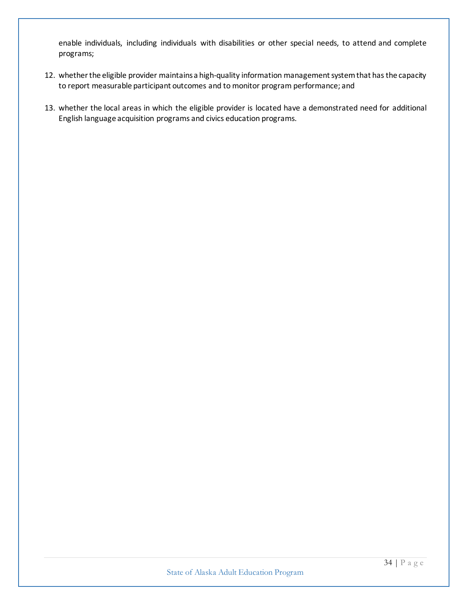enable individuals, including individuals with disabilities or other special needs, to attend and complete programs;

- 12. whether the eligible provider maintains a high-quality information management system that has the capacity to report measurable participant outcomes and to monitor program performance; and
- 13. whether the local areas in which the eligible provider is located have a demonstrated need for additional English language acquisition programs and civics education programs.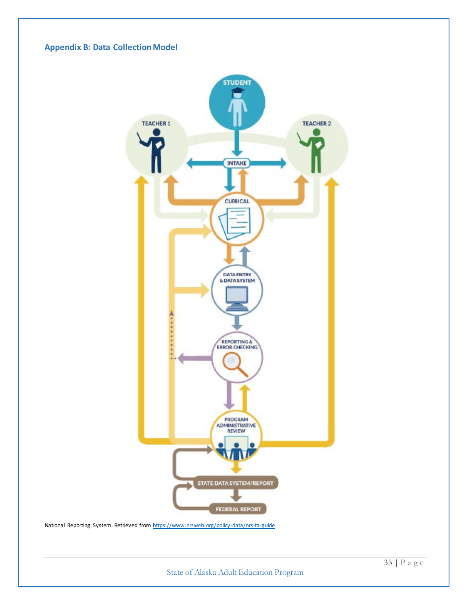<span id="page-34-0"></span>